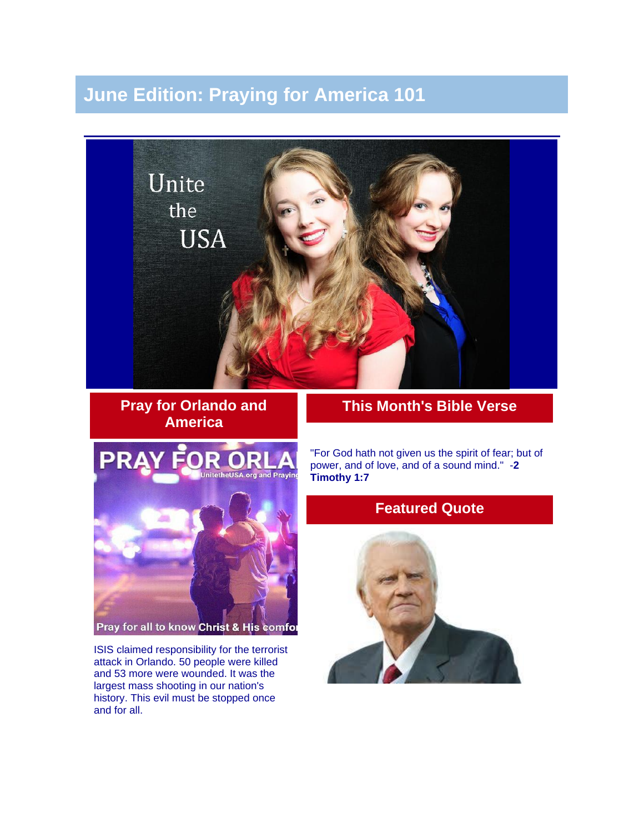# **June Edition: Praying for America 101**



**Pray for Orlando and America**

### **This Month's Bible Verse**



ISIS claimed responsibility for the terrorist attack in Orlando. 50 people were killed and 53 more were wounded. It was the largest mass shooting in our nation's history. This evil must be stopped once and for all.

"For God hath not given us the spirit of fear; but of power, and of love, and of a sound mind." -**2 Timothy 1:7**

## **Featured Quote**

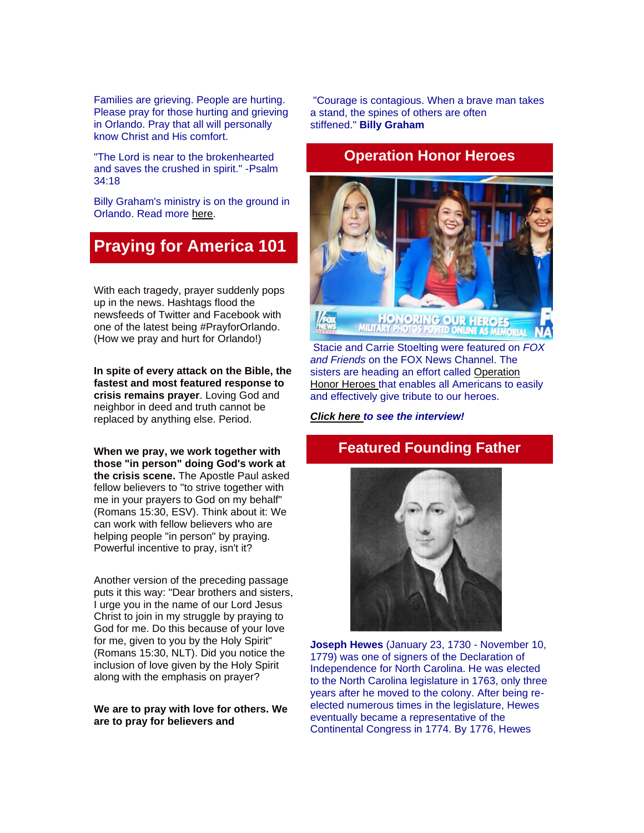Families are grieving. People are hurting. Please pray for those hurting and grieving in Orlando. Pray that all will personally know Christ and His comfort.

"The Lord is near to the brokenhearted and saves the crushed in spirit." -Psalm 34:18

Billy Graham's ministry is on the ground in Orlando. Read more [here.](http://billygraham.org/story/pray-for-those-grieving-devastating-loss-after-orlando-shooting/)

# **Praying for America 101**

With each tragedy, prayer suddenly pops up in the news. Hashtags flood the newsfeeds of Twitter and Facebook with one of the latest being #PrayforOrlando. (How we pray and hurt for Orlando!)

**In spite of every attack on the Bible, the fastest and most featured response to crisis remains prayer**. Loving God and neighbor in deed and truth cannot be replaced by anything else. Period.

**When we pray, we work together with those "in person" doing God's work at the crisis scene.** The Apostle Paul asked fellow believers to "to strive together with me in your prayers to God on my behalf" (Romans 15:30, ESV). Think about it: We can work with fellow believers who are helping people "in person" by praying. Powerful incentive to pray, isn't it?

Another version of the preceding passage puts it this way: "Dear brothers and sisters, I urge you in the name of our Lord Jesus Christ to join in my struggle by praying to God for me. Do this because of your love for me, given to you by the Holy Spirit" (Romans 15:30, NLT). Did you notice the inclusion of love given by the Holy Spirit along with the emphasis on prayer?

**We are to pray with love for others. We are to pray for believers and** 

"Courage is contagious. When a brave man takes a stand, the spines of others are often stiffened." **Billy Graham**

### **Operation Honor Heroes**



Stacie and Carrie Stoelting were featured on *FOX and Friends* on the FOX News Channel. The sisters are heading an effort called [Operation](http://unitetheusa.org/id149.html)  [Honor Heroes](http://unitetheusa.org/id149.html) that enables all Americans to easily and effectively give tribute to our heroes.

*[Click here](http://video.foxnews.com/v/4917028717001/sisters-want-to-help-americans-honor-military-heroes/?playlist_id=930909787001#sp=show-clips) to see the interview!*

## **Featured Founding Father**



**Joseph Hewes** (January 23, 1730 - November 10, 1779) was one of signers of the Declaration of Independence for North Carolina. He was elected to the North Carolina legislature in 1763, only three years after he moved to the colony. After being reelected numerous times in the legislature, Hewes eventually became a representative of the Continental Congress in 1774. By 1776, Hewes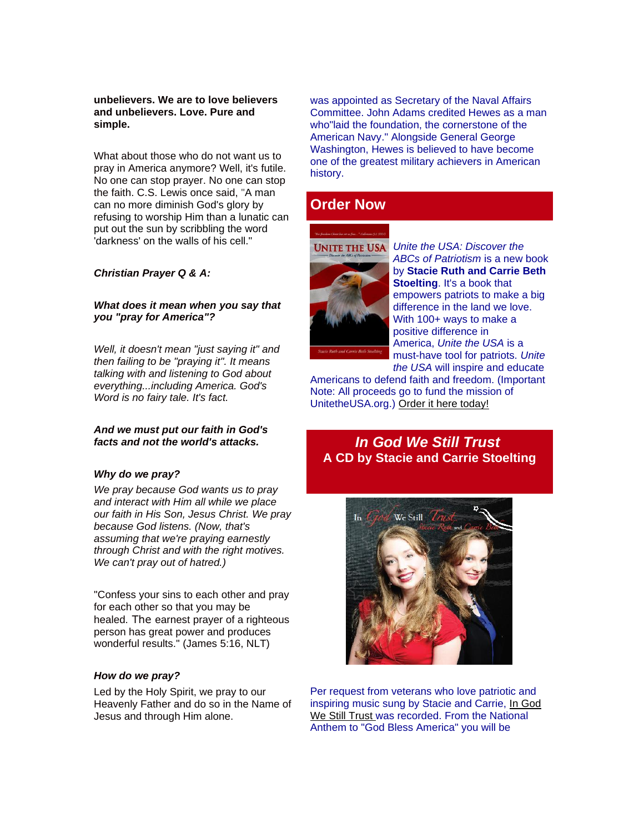#### **unbelievers. We are to love believers and unbelievers. Love. Pure and simple.**

What about those who do not want us to pray in America anymore? Well, it's futile. No one can stop prayer. No one can stop the faith. C.S. Lewis once said, "A man can no more diminish God's glory by refusing to worship Him than a lunatic can put out the sun by scribbling the word 'darkness' on the walls of his cell."

#### *Christian Prayer Q & A:*

#### *What does it mean when you say that you "pray for America"?*

*Well, it doesn't mean "just saying it" and then failing to be "praying it". It means talking with and listening to God about everything...including America. God's Word is no fairy tale. It's fact.*

#### *And we must put our faith in God's facts and not the world's attacks.*

#### *Why do we pray?*

*We pray because God wants us to pray and interact with Him all while we place our faith in His Son, Jesus Christ. We pray because God listens. (Now, that's assuming that we're praying earnestly through Christ and with the right motives. We can't pray out of hatred.)*

"Confess your sins to each other and pray for each other so that you may be healed. The earnest prayer of a righteous person has great power and produces wonderful results." (James 5:16, NLT)

#### *How do we pray?*

Led by the Holy Spirit, we pray to our Heavenly Father and do so in the Name of Jesus and through Him alone.

was appointed as Secretary of the Naval Affairs Committee. John Adams credited Hewes as a man who"laid the foundation, the cornerstone of the American Navy." Alongside General George Washington, Hewes is believed to have become one of the greatest military achievers in American history.

### **Order Now**





*Unite the USA: Discover the ABCs of Patriotism* is a new book by **Stacie Ruth and Carrie Beth Stoelting**. It's a book that empowers patriots to make a big difference in the land we love. With 100+ ways to make a positive difference in America, *Unite the USA* is a must-have tool for patriots. *Unite the USA* will inspire and educate

Americans to defend faith and freedom. (Important Note: All proceeds go to fund the mission of UnitetheUSA.org.) [Order it here today!](http://unitetheusa.org/id56.html)

### *In God We Still Trust* **A CD by Stacie and Carrie Stoelting**



Per request from veterans who love patriotic and inspiring music sung by Stacie and Carrie, [In God](http://unitetheusa.org/id56.html)  [We Still Trust](http://unitetheusa.org/id56.html) was recorded. From the National Anthem to "God Bless America" you will be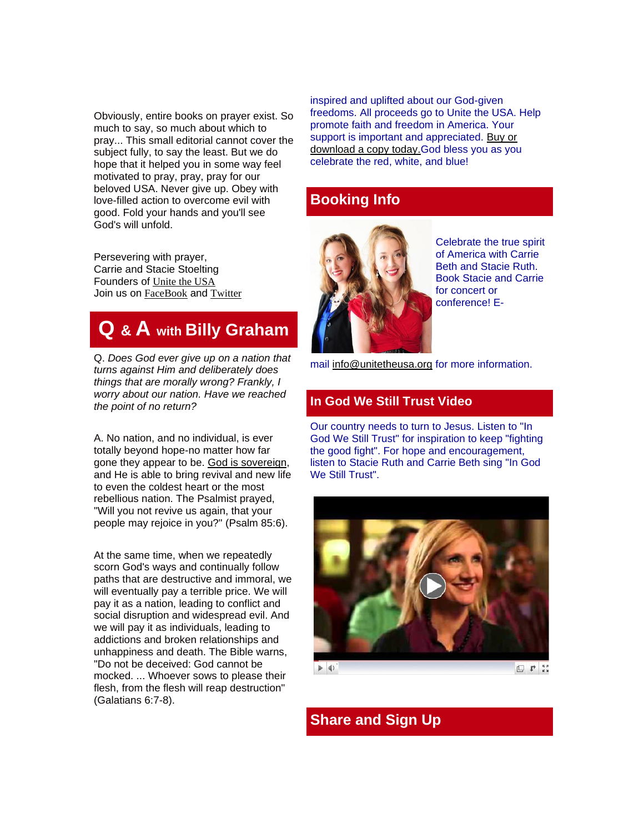Obviously, entire books on prayer exist. So much to say, so much about which to pray... This small editorial cannot cover the subject fully, to say the least. But we do hope that it helped you in some way feel motivated to pray, pray, pray for our beloved USA. Never give up. Obey with love-filled action to overcome evil with good. Fold your hands and you'll see God's will unfold.

Persevering with prayer, Carrie and Stacie Stoelting Founders of [Unite the USA](http://unitetheusa.org/index.html) Join us on [FaceBook](https://www.facebook.com/Unite-the-USA-200053406703556/?fref=nf) and [Twitter](https://twitter.com/UnitetheUSA1)

# **Q & A with Billy Graham**

Q. *Does God ever give up on a nation that turns against Him and deliberately does things that are morally wrong? Frankly, I worry about our nation. Have we reached the point of no return?*

A. No nation, and no individual, is ever totally beyond hope-no matter how far gone they appear to be. [God is sovereign,](http://peacewithgod.net/?utm_source=BGMainsite&utm_medium=PWG+Link&utm_campaign=PWG+Internal&utm_content=Has+God+Forgotten+Nation+030816&outreach=Has+God+Forgotten+Nation) and He is able to bring revival and new life to even the coldest heart or the most rebellious nation. The Psalmist prayed, "Will you not revive us again, that your people may rejoice in you?" (Psalm 85:6).

At the same time, when we repeatedly scorn God's ways and continually follow paths that are destructive and immoral, we will eventually pay a terrible price. We will pay it as a nation, leading to conflict and social disruption and widespread evil. And we will pay it as individuals, leading to addictions and broken relationships and unhappiness and death. The Bible warns, "Do not be deceived: God cannot be mocked. ... Whoever sows to please their flesh, from the flesh will reap destruction" (Galatians 6:7-8).

inspired and uplifted about our God-given freedoms. All proceeds go to Unite the USA. Help promote faith and freedom in America. Your support is important and appreciated. [Buy or](http://unitetheusa.org/id56.html)  [download a copy today.G](http://unitetheusa.org/id56.html)od bless you as you celebrate the red, white, and blue!

### **Booking Info**



Celebrate the true spirit of America with Carrie Beth and Stacie Ruth. Book Stacie and Carrie for concert or conference! E-

mail [info@unitetheusa.org](mailto:info@unitetheusa.org) for more information.

### **In God We Still Trust Video**

Our country needs to turn to Jesus. Listen to "In God We Still Trust" for inspiration to keep "fighting the good fight". For hope and encouragement, listen to Stacie Ruth and Carrie Beth sing "In God We Still Trust".



 $\blacktriangleright$  4)

日 中 芸

## **Share and Sign Up**